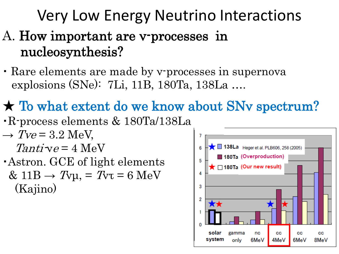# Very Low Energy Neutrino Interactions A. How important are v-processes in nucleosynthesis?

・ Rare elements are made by ν-processes in supernova explosions (SNe): 7Li, 11B, 180Ta, 138La ….

# ★ To what extent do we know about SNν spectrum?

- ・R-process elements & 180Ta/138La
- $\rightarrow$  Tve = 3.2 MeV,  $Tanti-ve = 4$  MeV
- ・Astron. GCE of light elements  $& 11B \rightarrow T_{VU} = T_{VU} = 6 MeV$ (Kajino)

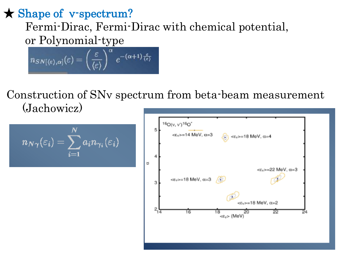★ Shape of ν-spectrum? Fermi-Dirac, Fermi-Dirac with chemical potential, or Polynomial-type

 $n_{SN[\langle \epsilon \rangle, \alpha]}(\varepsilon) = \left(\frac{\varepsilon}{\langle \epsilon \rangle}\right)^{\alpha} e^{-(\alpha+1)\frac{\varepsilon}{\langle \epsilon \rangle}}$ 

Construction of SNν spectrum from beta-beam measurement (Jachowicz)

$$
n_{N\gamma}(\varepsilon_i)=\sum_{i=1}^N a_i n_{\gamma_i}(\varepsilon_i)
$$

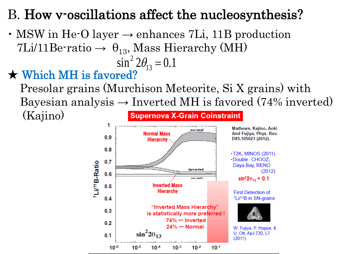### B. How v-oscillations affect the nucleosynthesis?

• MSW in He-O layer  $\rightarrow$  enhances 7Li, 11B production 7Li/11Be-ratio  $\rightarrow \theta_{13}$ , Mass Hierarchy (MH)  $\sin^2 2\theta_{13} = 0.1$ 

#### $\star$  Which MH is favored?

 Presolar grains (Murchison Meteorite, Si X grains) with Bayesian analysis  $\rightarrow$  Inverted MH is favored (74% inverted) (Kajino) **Supernova X-Grain Coinstraint** 

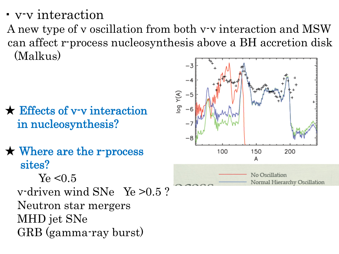・ ν-ν interaction

A new type of ν oscillation from both ν-ν interaction and MSW can affect r-process nucleosynthesis above a BH accretion disk (Malkus)

- ★ Effects of ν-ν interaction in nucleosynthesis?
- ★ Where are the r-process sites?  $Ye < 0.5$  ν-driven wind SNe Ye >0.5 ? Neutron star mergers MHD jet SNe GRB (gamma-ray burst)

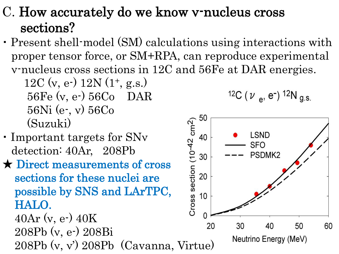### C. How accurately do we know ν-nucleus cross sections?

・ Present shell-model (SM) calculations using interactions with proper tensor force, or SM+RPA, can reproduce experimental ν-nucleus cross sections in 12C and 56Fe at DAR energies.

12C (v, e-)  $12N(1^+, g.s.)$  56Fe (ν, e-) 56Co DAR 56Ni (e-, ν) 56Co (Suzuki)

- ・ Important targets for SNν detection: 40Ar, 208Pb
- ★ Direct measurements of cross sections for these nuclei are possible by SNS and LArTPC, HALO.

 $40Ar$  (v, e-)  $40K$  208Pb (ν, e-) 208Bi 208Pb (ν, ν') 208Pb (Cavanna, Virtue)

$$
{}^{12}C \; (\nu_e, e^-) \; {}^{12}N \; g.s
$$

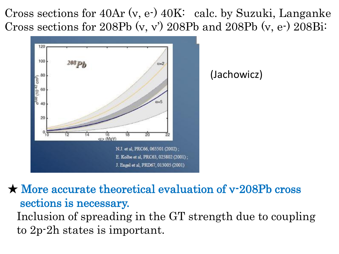Cross sections for 40Ar (ν, e-) 40K: calc. by Suzuki, Langanke Cross sections for 208Pb  $(v, v')$  208Pb and 208Pb  $(v, e)$  208Bi:



★ More accurate theoretical evaluation of ν-208Pb cross sections is necessary. Inclusion of spreading in the GT strength due to coupling to 2p-2h states is important.